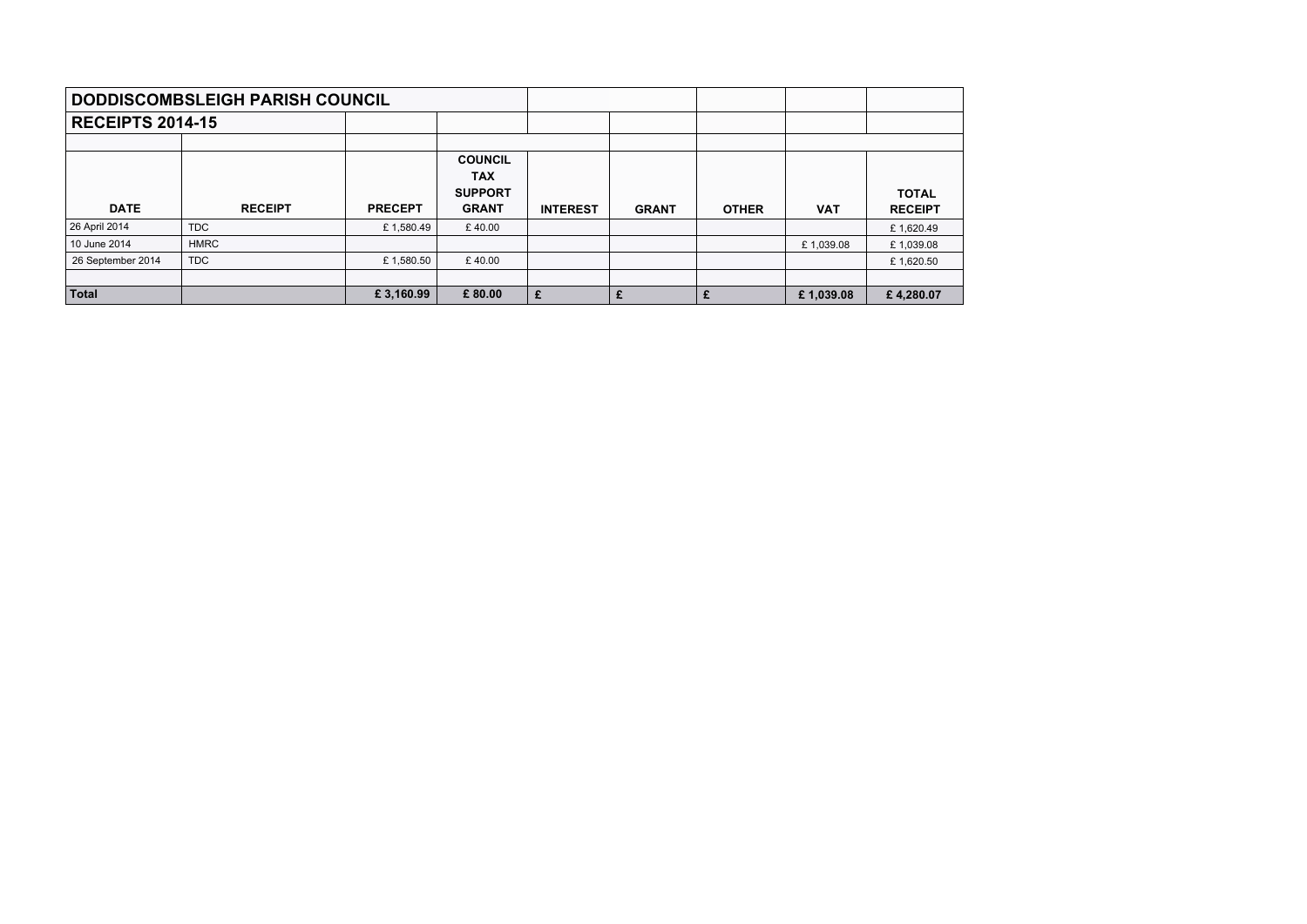|                         | <b>DODDISCOMBSLEIGH PARISH COUNCIL</b> |                |                                                                |                 |              |              |            |                                |
|-------------------------|----------------------------------------|----------------|----------------------------------------------------------------|-----------------|--------------|--------------|------------|--------------------------------|
| <b>RECEIPTS 2014-15</b> |                                        |                |                                                                |                 |              |              |            |                                |
|                         |                                        |                |                                                                |                 |              |              |            |                                |
| <b>DATE</b>             | <b>RECEIPT</b>                         | <b>PRECEPT</b> | <b>COUNCIL</b><br><b>TAX</b><br><b>SUPPORT</b><br><b>GRANT</b> | <b>INTEREST</b> | <b>GRANT</b> | <b>OTHER</b> | <b>VAT</b> | <b>TOTAL</b><br><b>RECEIPT</b> |
| 26 April 2014           | <b>TDC</b>                             | £1,580.49      | £40.00                                                         |                 |              |              |            | £1,620.49                      |
| 10 June 2014            | <b>HMRC</b>                            |                |                                                                |                 |              |              | £1,039.08  | £1,039.08                      |
| 26 September 2014       | <b>TDC</b>                             | £1,580.50      | £40.00                                                         |                 |              |              |            | £1,620.50                      |
|                         |                                        |                |                                                                |                 |              |              |            |                                |
| <b>Total</b>            |                                        | £3,160.99      | £80.00                                                         | £               | £            |              | £1,039.08  | £4,280.07                      |